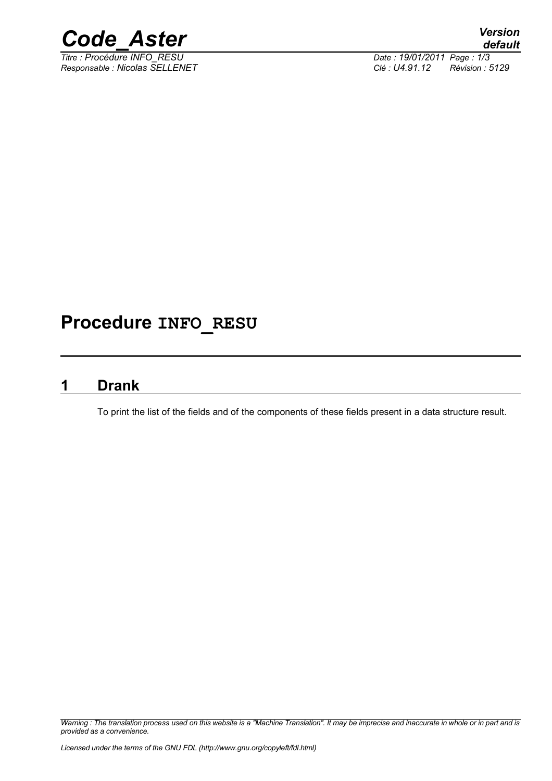

*Responsable : Nicolas SELLENET Clé : U4.91.12 Révision : 5129*

*Titre : Procédure INFO\_RESU Date : 19/01/2011 Page : 1/3*

## **Procedure INFO\_RESU**

### **1 Drank**

To print the list of the fields and of the components of these fields present in a data structure result.

*Warning : The translation process used on this website is a "Machine Translation". It may be imprecise and inaccurate in whole or in part and is provided as a convenience.*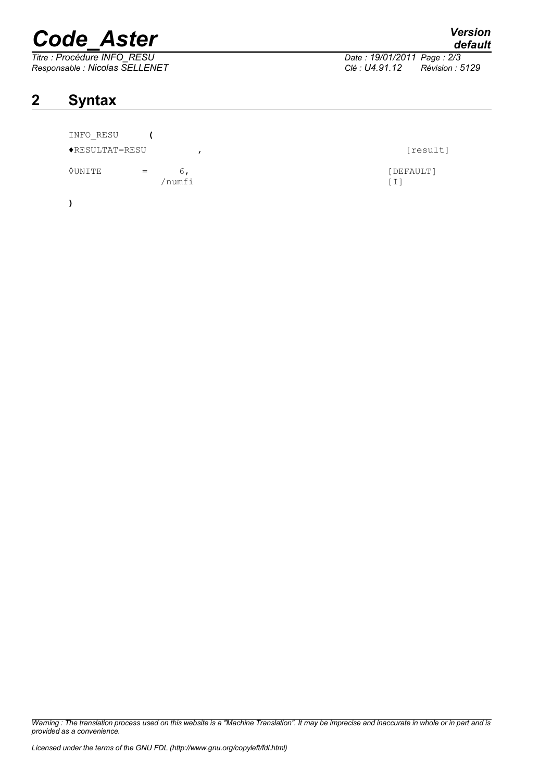# *Code\_Aster Version*

*Titre : Procédure INFO\_RESU Date : 19/01/2011 Page : 2/3 Responsable : Nicolas SELLENET Clé : U4.91.12 Révision : 5129*

### **2 Syntax**

|  | INFO RESU |  |
|--|-----------|--|
|  |           |  |

♦RESULTAT=RESU , [result]

 $\Diamond$ UNITE = 6,

**)**

*Warning : The translation process used on this website is a "Machine Translation". It may be imprecise and inaccurate in whole or in part and is provided as a convenience.*

| <b></b>        |
|----------------|
| default        |
| <u>version</u> |

/numfi [I]